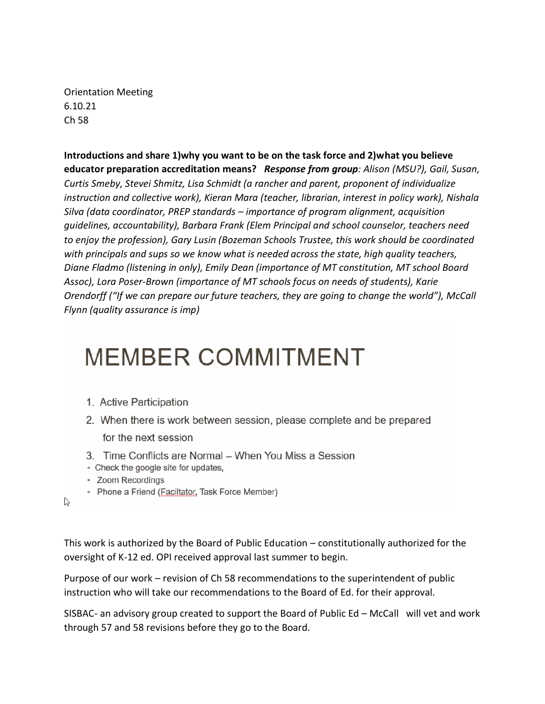Orientation Meeting 6.10.21 Ch 58

**Introductions and share 1)why you want to be on the task force and 2)what you believe educator preparation accreditation means?** *Response from group: Alison (MSU?), Gail, Susan, Curtis Smeby, Stevei Shmitz, Lisa Schmidt (a rancher and parent, proponent of individualize instruction and collective work), Kieran Mara (teacher, librarian, interest in policy work), Nishala Silva (data coordinator, PREP standards – importance of program alignment, acquisition guidelines, accountability), Barbara Frank (Elem Principal and school counselor, teachers need to enjoy the profession), Gary Lusin (Bozeman Schools Trustee, this work should be coordinated with principals and sups so we know what is needed across the state, high quality teachers, Diane Fladmo (listening in only), Emily Dean (importance of MT constitution, MT school Board Assoc), Lora Poser-Brown (importance of MT schools focus on needs of students), Karie Orendorff ("If we can prepare our future teachers, they are going to change the world"), McCall Flynn (quality assurance is imp)*

# **MEMBER COMMITMENT**

- 1. Active Participation
- 2. When there is work between session, please complete and be prepared

for the next session

- 3. Time Conflicts are Normal When You Miss a Session
- Check the google site for updates,
- Zoom Recordings
- Phone a Friend (Faciltator, Task Force Member)

 $\lesssim$ 

This work is authorized by the Board of Public Education – constitutionally authorized for the oversight of K-12 ed. OPI received approval last summer to begin.

Purpose of our work – revision of Ch 58 recommendations to the superintendent of public instruction who will take our recommendations to the Board of Ed. for their approval.

SISBAC- an advisory group created to support the Board of Public Ed – McCall will vet and work through 57 and 58 revisions before they go to the Board.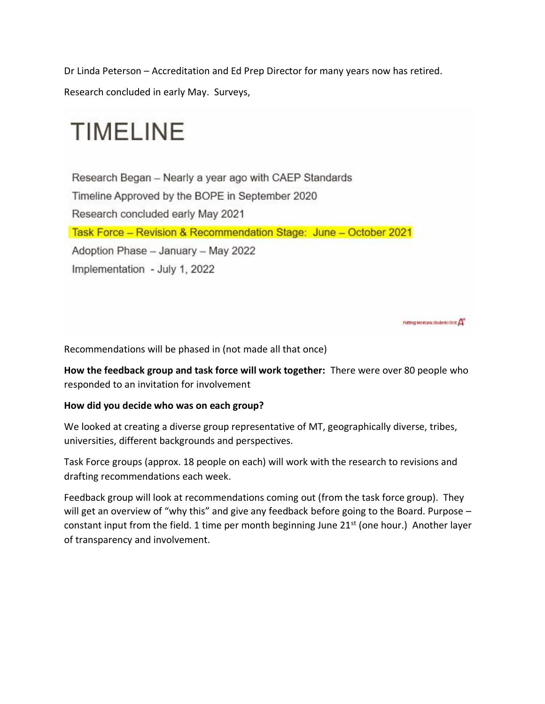Dr Linda Peterson – Accreditation and Ed Prep Director for many years now has retired.

Research concluded in early May. Surveys,

# **TIMELINE**

Research Began - Nearly a year ago with CAEP Standards Timeline Approved by the BOPE in September 2020 Research concluded early May 2021 Task Force - Revision & Recommendation Stage: June - October 2021 Adoption Phase - January - May 2022 Implementation - July 1, 2022

Putting Montana Students First A

Recommendations will be phased in (not made all that once)

**How the feedback group and task force will work together:** There were over 80 people who responded to an invitation for involvement

#### **How did you decide who was on each group?**

We looked at creating a diverse group representative of MT, geographically diverse, tribes, universities, different backgrounds and perspectives.

Task Force groups (approx. 18 people on each) will work with the research to revisions and drafting recommendations each week.

Feedback group will look at recommendations coming out (from the task force group). They will get an overview of "why this" and give any feedback before going to the Board. Purpose constant input from the field. 1 time per month beginning June  $21^{st}$  (one hour.) Another layer of transparency and involvement.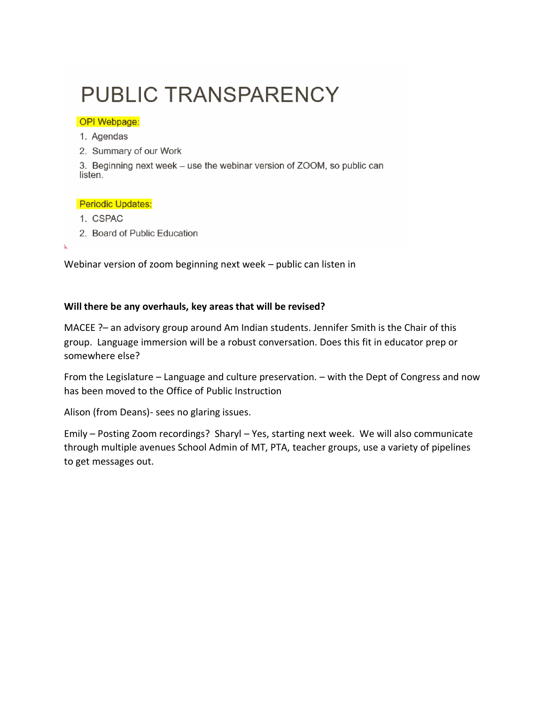### **PUBLIC TRANSPARENCY**

#### **OPI Webpage:**

- 1. Agendas
- 2. Summary of our Work

3. Beginning next week - use the webinar version of ZOOM, so public can listen.

#### Periodic Updates:

- 1. CSPAC
- 2. Board of Public Education

Webinar version of zoom beginning next week – public can listen in

#### **Will there be any overhauls, key areas that will be revised?**

MACEE ?– an advisory group around Am Indian students. Jennifer Smith is the Chair of this group. Language immersion will be a robust conversation. Does this fit in educator prep or somewhere else?

From the Legislature – Language and culture preservation. – with the Dept of Congress and now has been moved to the Office of Public Instruction

Alison (from Deans)- sees no glaring issues.

Emily – Posting Zoom recordings? Sharyl – Yes, starting next week. We will also communicate through multiple avenues School Admin of MT, PTA, teacher groups, use a variety of pipelines to get messages out.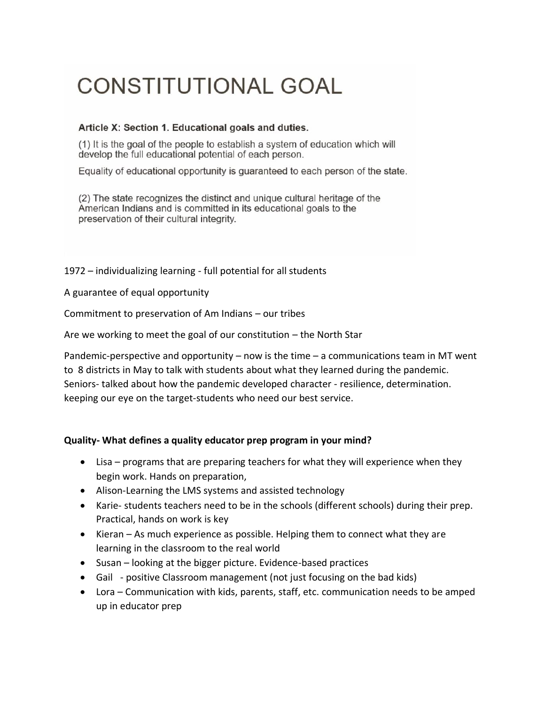## **CONSTITUTIONAL GOAL**

#### Article X: Section 1. Educational goals and duties.

(1) It is the goal of the people to establish a system of education which will develop the full educational potential of each person.

Equality of educational opportunity is guaranteed to each person of the state.

(2) The state recognizes the distinct and unique cultural heritage of the American Indians and is committed in its educational goals to the preservation of their cultural integrity.

1972 – individualizing learning - full potential for all students

A guarantee of equal opportunity

Commitment to preservation of Am Indians – our tribes

Are we working to meet the goal of our constitution – the North Star

Pandemic-perspective and opportunity – now is the time  $-$  a communications team in MT went to 8 districts in May to talk with students about what they learned during the pandemic. Seniors- talked about how the pandemic developed character - resilience, determination. keeping our eye on the target-students who need our best service.

#### **Quality- What defines a quality educator prep program in your mind?**

- Lisa programs that are preparing teachers for what they will experience when they begin work. Hands on preparation,
- Alison-Learning the LMS systems and assisted technology
- Karie- students teachers need to be in the schools (different schools) during their prep. Practical, hands on work is key
- Kieran As much experience as possible. Helping them to connect what they are learning in the classroom to the real world
- Susan looking at the bigger picture. Evidence-based practices
- Gail positive Classroom management (not just focusing on the bad kids)
- Lora Communication with kids, parents, staff, etc. communication needs to be amped up in educator prep